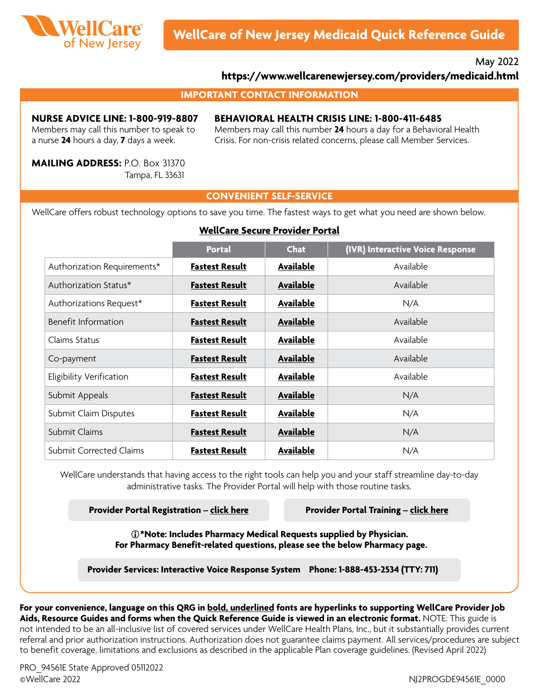

May 2022

### **<https://www.wellcarenewjersey.com/providers/medicaid.html>**

#### **IMPORTANT CONTACT INFORMATION**

#### **NURSE ADVICE LINE: 1-800-919-8807**

Members may call this number to speak to a nurse **24** hours a day, **7** days a week.

#### **BEHAVIORAL HEALTH CRISIS LINE: 1-800-411-6485**

Members may call this number **24** hours a day for a Behavioral Health Crisis. For non-crisis related concerns, please call Member Services.

**MAILING ADDRESS:** P.O. Box 31370 Tampa, FL 33631

#### **CONVENIENT SELF-SERVICE**

WellCare offers robust technology options to save you time. The fastest ways to get what you need are shown below.

#### **[WellCare Secure Provider Portal](https://provider.wellcare.com)**

|                                | <b>Portal</b>         | <b>Chat</b>      | (IVR) Interactive Voice Response |
|--------------------------------|-----------------------|------------------|----------------------------------|
| Authorization Requirements*    | <b>Fastest Result</b> | Available        | Available                        |
| Authorization Status*          | <b>Fastest Result</b> | <b>Available</b> | Available                        |
| Authorizations Request*        | <b>Fastest Result</b> | Available        | N/A                              |
| Benefit Information            | <b>Fastest Result</b> | Available        | Available                        |
| Claims Status                  | <b>Fastest Result</b> | Available        | Available                        |
| Co-payment                     | <b>Fastest Result</b> | Available        | Available                        |
| Eligibility Verification       | <b>Fastest Result</b> | Available        | Available                        |
| Submit Appeals                 | <b>Fastest Result</b> | <b>Available</b> | N/A                              |
| Submit Claim Disputes          | <b>Fastest Result</b> | Available        | N/A                              |
| Submit Claims                  | <b>Fastest Result</b> | <b>Available</b> | N/A                              |
| <b>Submit Corrected Claims</b> | <b>Fastest Result</b> | Available        | N/A                              |

WellCare understands that having access to the right tools can help you and your staff streamline day-to-day administrative tasks. The Provider Portal will help with those routine tasks.

**Provider Portal Registration – [click here](https://provider.wellcare.com/Provider/Accounts/Registration) Provider Portal Training – [click here](https://www.wellcare.com/New-Jersey/Providers/Medicaid/Training/New-Provider-Portal-Overview-Training)**

**\*Note: Includes Pharmacy Medical Requests supplied by Physician. For Pharmacy Benefit-related questions, please see the below Pharmacy page.**

**Provider Services: Interactive Voice Response System Phone: 1-888-453-2534 (TTY: 711)**

**For your convenience, language on this QRG in bold, underlined fonts are hyperlinks to supporting WellCare Provider Job Aids, Resource Guides and forms when the Quick Reference Guide is viewed in an electronic format.** NOTE: This guide is not intended to be an all-inclusive list of covered services under WellCare Health Plans, Inc., but it substantially provides current referral and prior authorization instructions. Authorization does not guarantee claims payment. All services/procedures are subject to benefit coverage, limitations and exclusions as described in the applicable Plan coverage guidelines. (Revised April 2022)

 PRO\_94561E State Approved 05112022 ©WellCare 2022 NJ2PROGDE94561E\_0000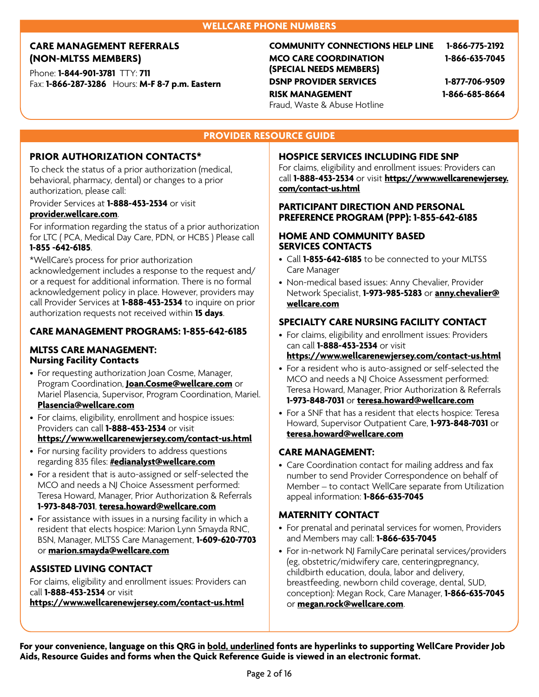#### **WELLCARE PHONE NUMBERS**

### **CARE MANAGEMENT REFERRALS (NON-MLTSS MEMBERS)**

Phone: **1-844-901-3781** TTY: **711** Fax: **1-866-287-3286** Hours: **M-F 8-7 p.m. Eastern** **COMMUNITY CONNECTIONS HELP LINE 1-866-775-2192 MCO CARE COORDINATION (SPECIAL NEEDS MEMBERS) 1-866-635-7045 DSNP PROVIDER SERVICES 1-877-706-9509 RISK MANAGEMENT** 

Fraud, Waste & Abuse Hotline

**1-866-685-8664**

# **PROVIDER RESOURCE GUIDE**

#### **PRIOR AUTHORIZATION CONTACTS\***

To check the status of a prior authorization (medical, behavioral, pharmacy, dental) or changes to a prior authorization, please call:

### Provider Services at **1-888-453-2534** or visit **[provider.wellcare.com](https://provider.wellcare.com)**.

For information regarding the status of a prior authorization for LTC ( PCA, Medical Day Care, PDN, or HCBS ) Please call **1-855 -642-6185**.

\*WellCare's process for prior authorization acknowledgement includes a response to the request and/

or a request for additional information. There is no formal acknowledgement policy in place. However, providers may call Provider Services at **1-888-453-2534** to inquire on prior authorization requests not received within **15 days**.

# **CARE MANAGEMENT PROGRAMS: 1-855-642-6185**

#### **MLTSS CARE MANAGEMENT: Nursing Facility Contacts**

- For requesting authorization Joan Cosme, Manager, Program Coordination, **[Joan.Cosme@wellcare.com](mailto:Joan.Cosme@wellcare.com)** or Mariel Plasencia, Supervisor, Program Coordination, Mariel. **[Plasencia@wellcare.com](mailto:Plasencia@wellcare.com)**
- For claims, eligibility, enrollment and hospice issues: Providers can call **1-888-453-2534** or visit **<https://www.wellcarenewjersey.com/contact-us.html>**
- For nursing facility providers to address questions regarding 835 files: **[#edianalyst@wellcare.com](mailto:#edianalyst@wellcare.com)**
- For a resident that is auto-assigned or self-selected the MCO and needs a NJ Choice Assessment performed: Teresa Howard, Manager, Prior Authorization & Referrals **1-973-848-7031**, **[teresa.howard@wellcare.com](mailto:teresa.howard@wellcare.com)**
- For assistance with issues in a nursing facility in which a resident that elects hospice: Marion Lynn Smayda RNC, BSN, Manager, MLTSS Care Management, **1-609-620-7703** or **[marion.smayda@wellcare.com](mailto:marion.smayda@wellcare.com)**

# **ASSISTED LIVING CONTACT**

For claims, eligibility and enrollment issues: Providers can call **1-888-453-2534** or visit **<https://www.wellcarenewjersey.com/contact-us.html>**

#### **HOSPICE SERVICES INCLUDING FIDE SNP**

For claims, eligibility and enrollment issues: Providers can call **1-888-453-2534** or visit **[https://www.wellcarenewjersey.](https://www.wellcarenewjersey.com/contact-us.html) [com/contact-us.html](https://www.wellcarenewjersey.com/contact-us.html)**

#### **PARTICIPANT DIRECTION AND PERSONAL PREFERENCE PROGRAM (PPP): 1-855-642-6185**

#### **HOME AND COMMUNITY BASED SERVICES CONTACTS**

- Call **1-855-642-6185** to be connected to your MLTSS Care Manager
- Non-medical based issues: Anny Chevalier, Provider Network Specialist, **1-973-985-5283** or **[anny.chevalier@](mailto:anny.chevalier@wellcare.com) [wellcare.com](mailto:anny.chevalier@wellcare.com)**

# **SPECIALTY CARE NURSING FACILITY CONTACT**

- For claims, eligibility and enrollment issues: Providers can call **1-888-453-2534** or visit **<https://www.wellcarenewjersey.com/contact-us.html>**
- For a resident who is auto-assigned or self-selected the MCO and needs a NJ Choice Assessment performed: Teresa Howard, Manager, Prior Authorization & Referrals **1-973-848-7031** or **[teresa.howard@wellcare.com](mailto:teresa.howard@wellcare.com)**
- For a SNF that has a resident that elects hospice: Teresa Howard, Supervisor Outpatient Care, **1-973-848-7031** or **[teresa.howard@wellcare.com](mailto:teresa.howard@wellcare.com)**

#### **CARE MANAGEMENT:**

• Care Coordination contact for mailing address and fax number to send Provider Correspondence on behalf of Member – to contact WellCare separate from Utilization appeal information: **1-866-635-7045**

#### **MATERNITY CONTACT**

- For prenatal and perinatal services for women, Providers and Members may call: **1-866-635-7045**
- For in-network NJ FamilyCare perinatal services/providers (eg, obstetric/midwifery care, centeringpregnancy, childbirth education, doula, labor and delivery, breastfeeding, newborn child coverage, dental, SUD, conception): Megan Rock, Care Manager, **1-866-635-7045** or **[megan.rock@wellcare.com](mailto:megan.rock@wellcare.com)**.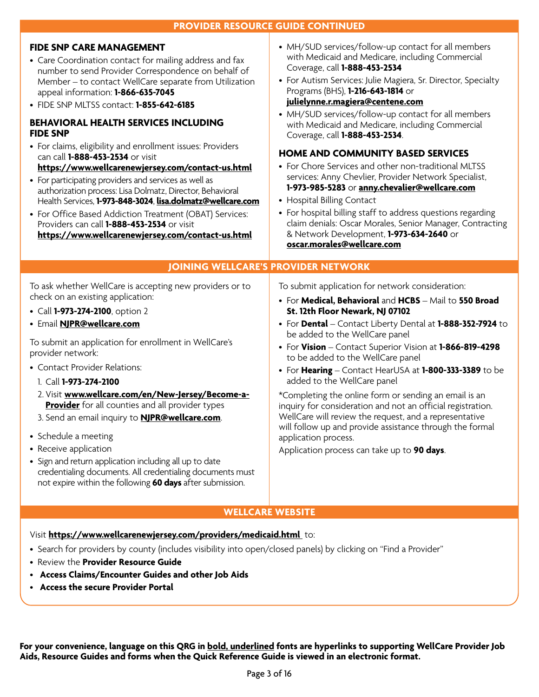| <b>PROVIDER RESOURCE GUIDE CONTINUED</b>                                                                                                                                                                                                                                                                                                                                                                                                                                                                                                                                                                                                                                                                                                                                                                                                                                 |                                                                                                                                                                                                                                                                                                                                                                                                                                                                                                                                                                                                                                                                                                                                                                                                                                                                                          |  |  |
|--------------------------------------------------------------------------------------------------------------------------------------------------------------------------------------------------------------------------------------------------------------------------------------------------------------------------------------------------------------------------------------------------------------------------------------------------------------------------------------------------------------------------------------------------------------------------------------------------------------------------------------------------------------------------------------------------------------------------------------------------------------------------------------------------------------------------------------------------------------------------|------------------------------------------------------------------------------------------------------------------------------------------------------------------------------------------------------------------------------------------------------------------------------------------------------------------------------------------------------------------------------------------------------------------------------------------------------------------------------------------------------------------------------------------------------------------------------------------------------------------------------------------------------------------------------------------------------------------------------------------------------------------------------------------------------------------------------------------------------------------------------------------|--|--|
| <b>FIDE SNP CARE MANAGEMENT</b><br>• Care Coordination contact for mailing address and fax<br>number to send Provider Correspondence on behalf of<br>Member - to contact WellCare separate from Utilization<br>appeal information: 1-866-635-7045<br>• FIDE SNP MLTSS contact: 1-855-642-6185<br><b>BEHAVIORAL HEALTH SERVICES INCLUDING</b><br><b>FIDE SNP</b><br>• For claims, eligibility and enrollment issues: Providers<br>can call 1-888-453-2534 or visit<br>https://www.wellcarenewjersey.com/contact-us.html<br>• For participating providers and services as well as<br>authorization process: Lisa Dolmatz, Director, Behavioral<br>Health Services, 1-973-848-3024, lisa.dolmatz@wellcare.com<br>• For Office Based Addiction Treatment (OBAT) Services:<br>Providers can call 1-888-453-2534 or visit<br>https://www.wellcarenewjersey.com/contact-us.html | • MH/SUD services/follow-up contact for all members<br>with Medicaid and Medicare, including Commercial<br>Coverage, call 1-888-453-2534<br>• For Autism Services: Julie Magiera, Sr. Director, Specialty<br>Programs (BHS), <b>1-216-643-1814</b> or<br>julielynne.r.magiera@centene.com<br>• MH/SUD services/follow-up contact for all members<br>with Medicaid and Medicare, including Commercial<br>Coverage, call 1-888-453-2534.<br><b>HOME AND COMMUNITY BASED SERVICES</b><br>• For Chore Services and other non-traditional MLTSS<br>services: Anny Chevlier, Provider Network Specialist,<br>1-973-985-5283 or anny.chevalier@wellcare.com<br>• Hospital Billing Contact<br>• For hospital billing staff to address questions regarding<br>claim denials: Oscar Morales, Senior Manager, Contracting<br>& Network Development, 1-973-634-2640 or<br>oscar.morales@wellcare.com |  |  |
| <b>JOINING WELLCARE'S PROVIDER NETWORK</b>                                                                                                                                                                                                                                                                                                                                                                                                                                                                                                                                                                                                                                                                                                                                                                                                                               |                                                                                                                                                                                                                                                                                                                                                                                                                                                                                                                                                                                                                                                                                                                                                                                                                                                                                          |  |  |
| To ask whether WellCare is accepting new providers or to<br>check on an existing application:<br>• Call 1-973-274-2100, option 2<br>· Email NJPR@wellcare.com<br>To submit an application for enrollment in WellCare's<br>provider network:<br>• Contact Provider Relations:<br>1. Call 1-973-274-2100<br>2. Visit www.wellcare.com/en/New-Jersey/Become-a-<br><b>Provider</b> for all counties and all provider types<br>3. Send an email inquiry to <b>NJPR@wellcare.com</b> .<br>• Schedule a meeting<br>• Receive application<br>• Sign and return application including all up to date<br>credentialing documents. All credentialing documents must<br>not expire within the following 60 days after submission.                                                                                                                                                    | To submit application for network consideration:<br>• For Medical, Behavioral and HCBS - Mail to 550 Broad<br>St. 12th Floor Newark, NJ 07102<br>• For Dental - Contact Liberty Dental at 1-888-352-7924 to<br>be added to the WellCare panel<br>• For Vision - Contact Superior Vision at 1-866-819-4298<br>to be added to the WellCare panel<br>• For Hearing - Contact HearUSA at 1-800-333-3389 to be<br>added to the WellCare panel<br>*Completing the online form or sending an email is an<br>inquiry for consideration and not an official registration.<br>WellCare will review the request, and a representative<br>will follow up and provide assistance through the formal<br>application process.<br>Application process can take up to 90 days.                                                                                                                            |  |  |

#### **WELLCARE WEBSITE**

Visit **[https://www.wellcarenewjersey.com/providers/medicaid.html](https://www.wellcarenewjersey.com/providers/medicaid.html )** to:

• Search for providers by county (includes visibility into open/closed panels) by clicking on "Find a Provider"

- Review the **Provider Resource Guide**
- **Access Claims/Encounter Guides and other Job Aids**
- **Access the secure Provider Portal**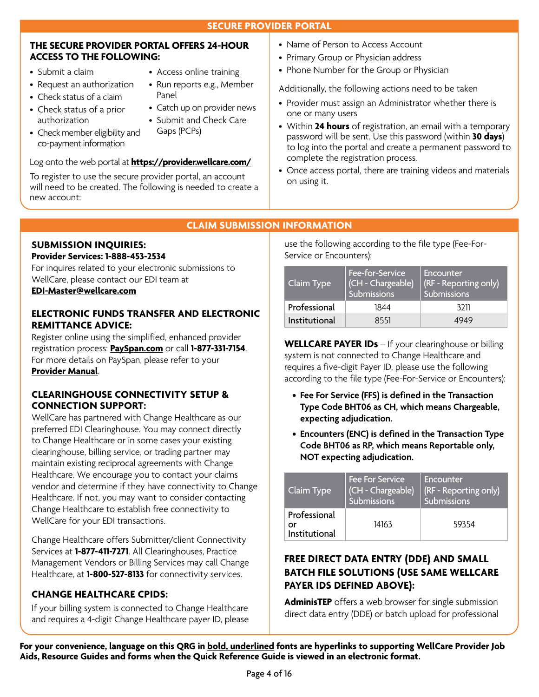#### **THE SECURE PROVIDER PORTAL OFFERS 24-HOUR ACCESS TO THE FOLLOWING:**

- Submit a claim
- Request an authorization
- Check status of a claim
- Check status of a prior authorization
- Check member eligibility and co-payment information
- Access online training
- Run reports e.g., Member Panel
- Catch up on provider news
- Submit and Check Care Gaps (PCPs)

# Log onto the web portal at **<https://provider.wellcare.com/>**

To register to use the secure provider portal, an account will need to be created. The following is needed to create a new account:

- Name of Person to Access Account
	- Primary Group or Physician address
	- Phone Number for the Group or Physician

Additionally, the following actions need to be taken

- Provider must assign an Administrator whether there is one or many users
- Within **24 hours** of registration, an email with a temporary password will be sent. Use this password (within **30 days**) to log into the portal and create a permanent password to complete the registration process.
- Once access portal, there are training videos and materials on using it.

# **CLAIM SUBMISSION INFORMATION**

#### **SUBMISSION INQUIRIES: Provider Services: 1-888-453-2534**

For inquires related to your electronic submissions to WellCare, please contact our EDI team at

# **[EDI-Master@wellcare.com](mailto:EDI-Master@wellcare.com)**

### **ELECTRONIC FUNDS TRANSFER AND ELECTRONIC REMITTANCE ADVICE:**

Register online using the simplified, enhanced provider registration process: **[PaySpan.com](https://www.payspanhealth.com/nps)** or call **1-877-331-7154**. For more details on PaySpan, please refer to your **[Provider Manual](http://www.wellcare.com/New-Jersey/Providers/Medicaid)**.

### **CLEARINGHOUSE CONNECTIVITY SETUP & CONNECTION SUPPORT:**

WellCare has partnered with Change Healthcare as our preferred EDI Clearinghouse. You may connect directly to Change Healthcare or in some cases your existing clearinghouse, billing service, or trading partner may maintain existing reciprocal agreements with Change Healthcare. We encourage you to contact your claims vendor and determine if they have connectivity to Change Healthcare. If not, you may want to consider contacting Change Healthcare to establish free connectivity to WellCare for your EDI transactions.

Change Healthcare offers Submitter/client Connectivity Services at **1-877-411-7271**. All Clearinghouses, Practice Management Vendors or Billing Services may call Change Healthcare, at **1-800-527-8133** for connectivity services.

# **CHANGE HEALTHCARE CPIDS:**

If your billing system is connected to Change Healthcare and requires a 4-digit Change Healthcare payer ID, please use the following according to the file type (Fee-For-Service or Encounters):

| Claim Type    | Fee-for-Service<br>(CH - Chargeable)<br><b>Submissions</b> | Encounter<br>(RF - Reporting only)<br>Submissions |
|---------------|------------------------------------------------------------|---------------------------------------------------|
| Professional  | 1844                                                       | 3211                                              |
| Institutional | 8551                                                       | 4949                                              |

**WELLCARE PAYER IDs** – If your clearinghouse or billing system is not connected to Change Healthcare and requires a five-digit Payer ID, please use the following according to the file type (Fee-For-Service or Encounters):

- **Fee For Service (FFS) is defined in the Transaction Type Code BHT06 as CH, which means Chargeable, expecting adjudication.**
- **Encounters (ENC) is defined in the Transaction Type Code BHT06 as RP, which means Reportable only, NOT expecting adjudication.**

| Claim Type                          | <b>Fee For Service</b><br>(CH - Chargeable)<br>Submissions | Encounter<br>(RF - Reporting only)<br>Submissions |
|-------------------------------------|------------------------------------------------------------|---------------------------------------------------|
| Professional<br>or<br>Institutional | 14163                                                      | 59354                                             |

# **FREE DIRECT DATA ENTRY (DDE) AND SMALL BATCH FILE SOLUTIONS (USE SAME WELLCARE PAYER IDS DEFINED ABOVE):**

**AdminisTEP** offers a web browser for single submission direct data entry (DDE) or batch upload for professional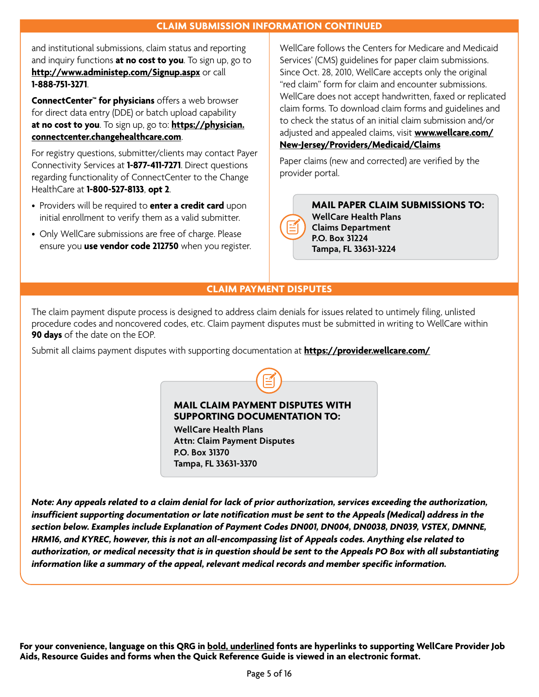and institutional submissions, claim status and reporting and inquiry functions **at no cost to you**. To sign up, go to **<http://www.administep.com/Signup.aspx>**or call **1-888-751-3271**.

**ConnectCenter™ for physicians** offers a web browser for direct data entry (DDE) or batch upload capability **at no cost to you**. To sign up, go to: **[https://physician.](https://physician.connectcenter.changehealthcare.com) [connectcenter.changehealthcare.com](https://physician.connectcenter.changehealthcare.com)**.

For registry questions, submitter/clients may contact Payer Connectivity Services at **1-877-411-7271**. Direct questions regarding functionality of ConnectCenter to the Change HealthCare at **1-800-527-8133**, **opt 2**.

- Providers will be required to **enter a credit card** upon initial enrollment to verify them as a valid submitter.
- Only WellCare submissions are free of charge. Please ensure you **use vendor code 212750** when you register.

WellCare follows the Centers for Medicare and Medicaid Services' (CMS) guidelines for paper claim submissions. Since Oct. 28, 2010, WellCare accepts only the original "red claim" form for claim and encounter submissions. WellCare does not accept handwritten, faxed or replicated claim forms. To download claim forms and guidelines and to check the status of an initial claim submission and/or adjusted and appealed claims, visit **[www.wellcare.com/](www.wellcare.com/New-Jersey/Providers/Medicaid/Claims) [New-Jersey/Providers/Medicaid/Claims](www.wellcare.com/New-Jersey/Providers/Medicaid/Claims)**

Paper claims (new and corrected) are verified by the provider portal.

**MAIL PAPER CLAIM SUBMISSIONS TO: WellCare Health Plans Claims Department P.O. Box 31224 Tampa, FL 33631-3224**

# **CLAIM PAYMENT DISPUTES**

The claim payment dispute process is designed to address claim denials for issues related to untimely filing, unlisted procedure codes and noncovered codes, etc. Claim payment disputes must be submitted in writing to WellCare within **90 days** of the date on the EOP.

Submit all claims payment disputes with supporting documentation at **<https://provider.wellcare.com/>**

**MAIL CLAIM PAYMENT DISPUTES WITH SUPPORTING DOCUMENTATION TO:**

**WellCare Health Plans Attn: Claim Payment Disputes P.O. Box 31370 Tampa, FL 33631-3370**

*Note: Any appeals related to a claim denial for lack of prior authorization, services exceeding the authorization, insufficient supporting documentation or late notification must be sent to the Appeals (Medical) address in the section below. Examples include Explanation of Payment Codes DN001, DN004, DN0038, DN039, VSTEX, DMNNE, HRM16, and KYREC, however, this is not an all-encompassing list of Appeals codes. Anything else related to authorization, or medical necessity that is in question should be sent to the Appeals PO Box with all substantiating information like a summary of the appeal, relevant medical records and member specific information.*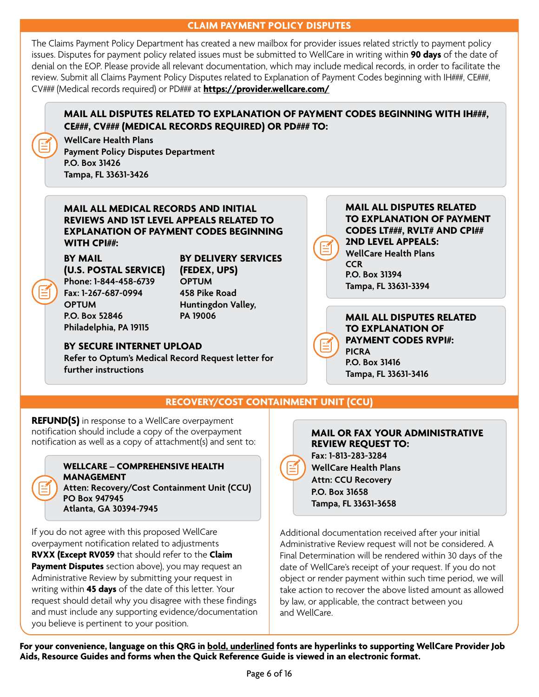#### **CLAIM PAYMENT POLICY DISPUTES**

The Claims Payment Policy Department has created a new mailbox for provider issues related strictly to payment policy issues. Disputes for payment policy related issues must be submitted to WellCare in writing within **90 days** of the date of denial on the EOP. Please provide all relevant documentation, which may include medical records, in order to facilitate the review. Submit all Claims Payment Policy Disputes related to Explanation of Payment Codes beginning with IH###, CE###, CV### (Medical records required) or PD### at **<https://provider.wellcare.com/>**

# **MAIL ALL DISPUTES RELATED TO EXPLANATION OF PAYMENT CODES BEGINNING WITH IH###. CE###, CV### (MEDICAL RECORDS REQUIRED) OR PD### TO:**

**WellCare Health Plans Payment Policy Disputes Department P.O. Box 31426 Tampa, FL 33631-3426**

**MAIL ALL MEDICAL RECORDS AND INITIAL REVIEWS AND 1ST LEVEL APPEALS RELATED TO EXPLANATION OF PAYMENT CODES BEGINNING WITH CPI##:** 

**BY MAIL (U.S. POSTAL SERVICE) Phone: 1-844-458-6739 Fax: 1-267-687-0994 OPTUM P.O. Box 52846 Philadelphia, PA 19115**

**BY DELIVERY SERVICES (FEDEX, UPS) OPTUM 458 Pike Road Huntingdon Valley, PA 19006**

#### **BY SECURE INTERNET UPLOAD**

**Refer to Optum's Medical Record Request letter for further instructions**

#### **MAIL ALL DISPUTES RELATED TO EXPLANATION OF PAYMENT CODES LT###, RVLT# AND CPI## 2ND LEVEL APPEALS: WellCare Health Plans CCR P.O. Box 31394 Tampa, FL 33631-3394**

**MAIL ALL DISPUTES RELATED TO EXPLANATION OF PAYMENT CODES RVPI#: PICRA P.O. Box 31416 Tampa, FL 33631-3416**

# **RECOVERY/COST CONTAINMENT UNIT (CCU)**

**REFUND(S)** in response to a WellCare overpayment notification should include a copy of the overpayment notification as well as a copy of attachment(s) and sent to:



**WELLCARE – COMPREHENSIVE HEALTH MANAGEMENT Atten: Recovery/Cost Containment Unit (CCU) PO Box 947945 Atlanta, GA 30394-7945**

If you do not agree with this proposed WellCare overpayment notification related to adjustments **RVXX (Except RV059** that should refer to the **Claim Payment Disputes** section above), you may request an Administrative Review by submitting your request in writing within **45 days** of the date of this letter. Your request should detail why you disagree with these findings and must include any supporting evidence/documentation you believe is pertinent to your position.

#### **MAIL OR FAX YOUR ADMINISTRATIVE REVIEW REQUEST TO:**

**Fax: 1-813-283-3284 WellCare Health Plans Attn: CCU Recovery P.O. Box 31658 Tampa, FL 33631-3658**

Additional documentation received after your initial Administrative Review request will not be considered. A Final Determination will be rendered within 30 days of the date of WellCare's receipt of your request. If you do not object or render payment within such time period, we will take action to recover the above listed amount as allowed by law, or applicable, the contract between you and WellCare.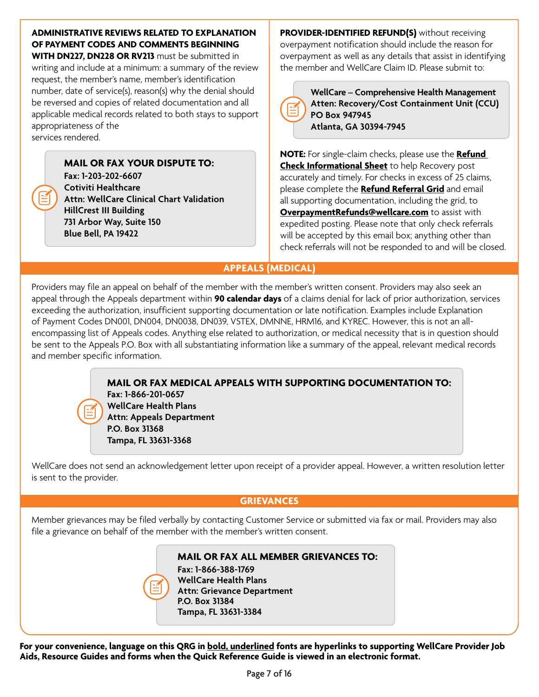# **ADMINISTRATIVE REVIEWS RELATED TO EXPLANATION OF PAYMENT CODES AND COMMENTS BEGINNING**

**WITH DN227, DN228 OR RV213** must be submitted in writing and include at a minimum: a summary of the review request, the member's name, member's identification number, date of service(s), reason(s) why the denial should be reversed and copies of related documentation and all applicable medical records related to both stays to support appropriateness of the services rendered.

> **MAIL OR FAX YOUR DISPUTE TO: Fax: 1-203-202-6607 Cotiviti Healthcare Attn: WellCare Clinical Chart Validation HillCrest III Building 731 Arbor Way, Suite 150 Blue Bell, PA 19422**

**PROVIDER-IDENTIFIED REFUND(S)** without receiving overpayment notification should include the reason for overpayment as well as any details that assist in identifying the member and WellCare Claim ID. Please submit to:



**WellCare – Comprehensive Health Management Atten: Recovery/Cost Containment Unit (CCU) PO Box 947945 Atlanta, GA 30394-7945**

**NOTE:** For single-claim checks, please use the **[Refund](https://www.wellcare.com/New-Jersey/Providers/Medicaid/Forms)  [Check Informational Sheet](https://www.wellcare.com/New-Jersey/Providers/Medicaid/Forms)** to help Recovery post accurately and timely. For checks in excess of 25 claims, please complete the **[Refund Referral Grid](https://www.wellcare.com/New-Jersey/Providers/Medicaid/Forms)** and email all supporting documentation, including the grid, to **[OverpaymentRefunds@wellcare.com](mailto:OverpaymentRefunds@wellcare.com)** to assist with expedited posting. Please note that only check referrals will be accepted by this email box; anything other than check referrals will not be responded to and will be closed.

# **APPEALS (MEDICAL)**

Providers may file an appeal on behalf of the member with the member's written consent. Providers may also seek an appeal through the Appeals department within **90 calendar days** of a claims denial for lack of prior authorization, services exceeding the authorization, insufficient supporting documentation or late notification. Examples include Explanation of Payment Codes DN001, DN004, DN0038, DN039, VSTEX, DMNNE, HRM16, and KYREC. However, this is not an allencompassing list of Appeals codes. Anything else related to authorization, or medical necessity that is in question should be sent to the Appeals P.O. Box with all substantiating information like a summary of the appeal, relevant medical records and member specific information.

> **MAIL OR FAX MEDICAL APPEALS WITH SUPPORTING DOCUMENTATION TO: Fax: 1-866-201-0657 WellCare Health Plans Attn: Appeals Department P.O. Box 31368 Tampa, FL 33631-3368**

WellCare does not send an acknowledgement letter upon receipt of a provider appeal. However, a written resolution letter is sent to the provider.

# **GRIEVANCES**

Member grievances may be filed verbally by contacting Customer Service or submitted via fax or mail. Providers may also file a grievance on behalf of the member with the member's written consent.

> **MAIL OR FAX ALL MEMBER GRIEVANCES TO: Fax: 1-866-388-1769**

**WellCare Health Plans Attn: Grievance Department P.O. Box 31384 Tampa, FL 33631-3384**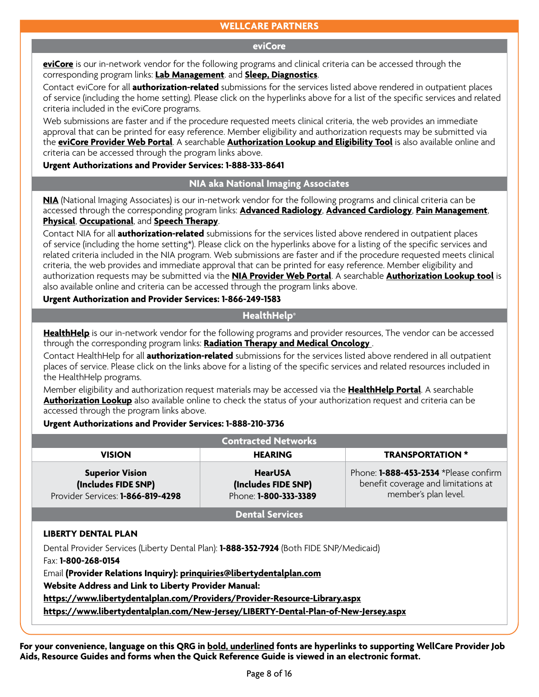### **WELLCARE PARTNERS**

#### **eviCore**

**[eviCore](https://www.evicore.com)** is our in-network vendor for the following programs and clinical criteria can be accessed through the corresponding program links: **[Lab Management](https://www.evicore.com/provider/clinical-guidelines)**. and **[Sleep, Diagnostics](https://www.evicore.com/provider/clinical-guidelines)**.

Contact eviCore for all **authorization-related** submissions for the services listed above rendered in outpatient places of service (including the home setting). Please click on the hyperlinks above for a list of the specific services and related criteria included in the eviCore programs.

Web submissions are faster and if the procedure requested meets clinical criteria, the web provides an immediate approval that can be printed for easy reference. Member eligibility and authorization requests may be submitted via the **[eviCore Provider Web Portal](https://www.evicore.com/provider#login)**. A searchable **[Authorization Lookup and Eligibility Tool](https://carriers.carecorenational.com/Preauthorization/screens/Login.aspx?Action=Eligibility)** is also available online and criteria can be accessed through the program links above.

#### **Urgent Authorizations and Provider Services: 1-888-333-8641**

#### **NIA aka National Imaging Associates**

**[NIA](https://www1.radmd.com/radmd-home.aspx)** (National Imaging Associates) is our in-network vendor for the following programs and clinical criteria can be accessed through the corresponding program links: **[Advanced Radiology](https://www1.radmd.com/solutions.aspx)**, **[Advanced Cardiology](https://www1.radmd.com/solutions.aspx)**, **[Pain Management](https://www1.radmd.com/solutions.aspx)**, **[Physical](https://www.evicore.com/provider/clinical-guidelines)**, **[Occupational](https://www1.radmd.com/solutions.aspx)**, and **[Speech Therapy](https://www1.radmd.com/solutions.aspx)**.

Contact NIA for all **authorization-related** submissions for the services listed above rendered in outpatient places of service (including the home setting\*). Please click on the hyperlinks above for a listing of the specific services and related criteria included in the NIA program. Web submissions are faster and if the procedure requested meets clinical criteria, the web provides and immediate approval that can be printed for easy reference. Member eligibility and authorization requests may be submitted via the **[NIA Provider Web Portal](https://www1.radmd.com/radmd-home.aspx)**. A searchable **[Authorization Lookup tool](https://www1.radmd.com/radmd-home.aspx)** is also available online and criteria can be accessed through the program links above.

#### **Urgent Authorization and Provider Services: 1-866-249-1583**

# **HealthHelp®**

**[HealthHelp](https://portal.healthhelp.com/landing/?p=ED090C587BF7817C)** is our in-network vendor for the following programs and provider resources, The vendor can be accessed through the corresponding program links: **[Radiation Therapy and Medical Oncology](https://portal.healthhelp.com/landing/?p=ED090C587BF7817C)** .

Contact HealthHelp for all **authorization-related** submissions for the services listed above rendered in all outpatient places of service. Please click on the links above for a listing of the specific services and related resources included in the HealthHelp programs.

Member eligibility and authorization request materials may be accessed via the **[HealthHelp Portal](https://portal.healthhelp.com/landing/?p=ED090C587BF7817C)**. A searchable **[Authorization Lookup](https://portal.healthhelp.com/landing/?p=ED090C587BF7817C)** also available online to check the status of your authorization request and criteria can be accessed through the program links above.

#### **Urgent Authorizations and Provider Services: 1-888-210-3736**

| <b>Contracted Networks</b>                                                         |                                                                |                                                                                                      |  |
|------------------------------------------------------------------------------------|----------------------------------------------------------------|------------------------------------------------------------------------------------------------------|--|
| <b>VISION</b>                                                                      | <b>HEARING</b>                                                 | <b>TRANSPORTATION *</b>                                                                              |  |
| <b>Superior Vision</b><br>(Includes FIDE SNP)<br>Provider Services: 1-866-819-4298 | <b>HearUSA</b><br>(Includes FIDE SNP)<br>Phone: 1-800-333-3389 | Phone: 1-888-453-2534 *Please confirm<br>benefit coverage and limitations at<br>member's plan level. |  |
|                                                                                    | <b>Dental Services</b>                                         |                                                                                                      |  |
| IBEBTY BELITAL BLALL                                                               |                                                                |                                                                                                      |  |

#### **LIBERTY DENTAL PLAN**

Dental Provider Services (Liberty Dental Plan): **1-888-352-7924** (Both FIDE SNP/Medicaid)

Fax: **1-800-268-0154**

Email **(Provider Relations Inquiry): [prinquiries@libertydentalplan.com](mailto:prinquiries@libertydentalplan.com)**

**Website Address and Link to Liberty Provider Manual:** 

**<https://www.libertydentalplan.com/Providers/Provider-Resource-Library.aspx>** 

**<https://www.libertydentalplan.com/New-Jersey/LIBERTY-Dental-Plan-of-New-Jersey.aspx>**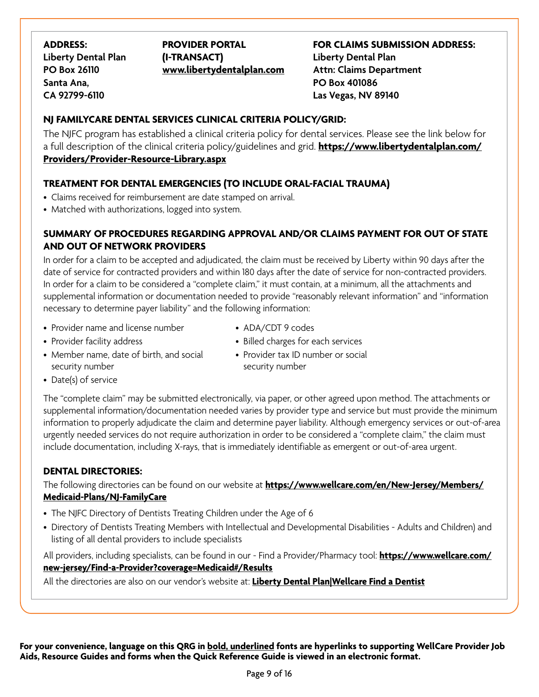**ADDRESS: Liberty Dental Plan PO Box 26110 Santa Ana, CA 92799-6110** 

**PROVIDER PORTAL (I-TRANSACT) [www.libertydentalplan.com](http://www.libertydentalplan.com)** 

**FOR CLAIMS SUBMISSION ADDRESS: Liberty Dental Plan Attn: Claims Department PO Box 401086 Las Vegas, NV 89140** 

# **NJ FAMILYCARE DENTAL SERVICES CLINICAL CRITERIA POLICY/GRID:**

The NJFC program has established a clinical criteria policy for dental services. Please see the link below for a full description of the clinical criteria policy/guidelines and grid. **[https://www.libertydentalplan.com/](https://www.libertydentalplan.com/Providers/Provider-Resource-Library.aspx)  [Providers/Provider-Resource-Library.aspx](https://www.libertydentalplan.com/Providers/Provider-Resource-Library.aspx)** 

# **TREATMENT FOR DENTAL EMERGENCIES (TO INCLUDE ORAL-FACIAL TRAUMA)**

- Claims received for reimbursement are date stamped on arrival.
- Matched with authorizations, logged into system.

# **SUMMARY OF PROCEDURES REGARDING APPROVAL AND/OR CLAIMS PAYMENT FOR OUT OF STATE AND OUT OF NETWORK PROVIDERS**

In order for a claim to be accepted and adjudicated, the claim must be received by Liberty within 90 days after the date of service for contracted providers and within 180 days after the date of service for non-contracted providers. In order for a claim to be considered a "complete claim," it must contain, at a minimum, all the attachments and supplemental information or documentation needed to provide "reasonably relevant information" and "information necessary to determine payer liability" and the following information:

- Provider name and license number
- Provider facility address

• ADA/CDT 9 codes

- Billed charges for each services
- Member name, date of birth, and social security number
- Provider tax ID number or social security number

• Date(s) of service

The "complete claim" may be submitted electronically, via paper, or other agreed upon method. The attachments or supplemental information/documentation needed varies by provider type and service but must provide the minimum information to properly adjudicate the claim and determine payer liability. Although emergency services or out-of-area urgently needed services do not require authorization in order to be considered a "complete claim," the claim must include documentation, including X-rays, that is immediately identifiable as emergent or out-of-area urgent.

# **DENTAL DIRECTORIES:**

The following directories can be found on our website at **[https://www.wellcare.com/en/New-Jersey/Members/](https://www.wellcare.com/en/New-Jersey/Members/Medicaid-Plans/NJ-FamilyCare)  [Medicaid-Plans/NJ-FamilyCare](https://www.wellcare.com/en/New-Jersey/Members/Medicaid-Plans/NJ-FamilyCare)** 

- The NJFC Directory of Dentists Treating Children under the Age of 6
- Directory of Dentists Treating Members with Intellectual and Developmental Disabilities Adults and Children) and listing of all dental providers to include specialists

All providers, including specialists, can be found in our - Find a Provider/Pharmacy tool: **[https://www.wellcare.com/](https://www.wellcare.com/new-jersey/Find-a-Provider?coverage=Medicaid#/Results)  [new-jersey/Find-a-Provider?coverage=Medicaid#/Results](https://www.wellcare.com/new-jersey/Find-a-Provider?coverage=Medicaid#/Results)** 

All the directories are also on our vendor's website at: **[Liberty Dental Plan|Wellcare Find a Dentist](https://client.libertydentalplan.com/wellcare/wellcarenj?_ga=2.228924570.729144425.1637251146-1308814614.1617995113)**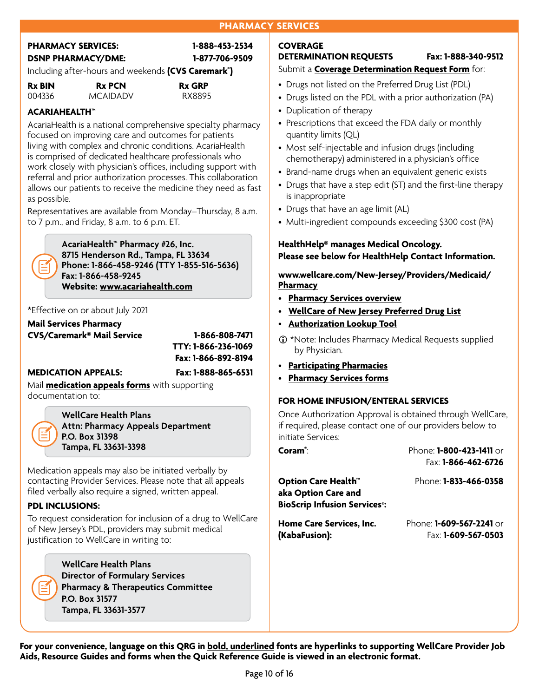# **PHARMACY SERVICES**

| <b>PHARMACY SERVICES:</b>                                       | 1-888-453-2534 |
|-----------------------------------------------------------------|----------------|
| <b>DSNP PHARMACY/DME:</b>                                       | 1-877-706-9509 |
| Including after-hours and weekends (CVS Caremark <sup>®</sup> ) |                |

| <b>Rx BIN</b> | <b>Rx PCN</b>   | <b>Rx GRP</b> |
|---------------|-----------------|---------------|
| 004336        | <b>MCAIDADV</b> | RX8895        |

# **ACARIAHEALTH™**

AcariaHealth is a national comprehensive specialty pharmacy focused on improving care and outcomes for patients living with complex and chronic conditions. AcariaHealth is comprised of dedicated healthcare professionals who work closely with physician's offices, including support with referral and prior authorization processes. This collaboration allows our patients to receive the medicine they need as fast as possible.

Representatives are available from Monday–Thursday, 8 a.m. to 7 p.m., and Friday, 8 a.m. to 6 p.m. ET.

> **AcariaHealth™ Pharmacy #26, Inc. 8715 Henderson Rd., Tampa, FL 33634 Phone: 1-866-458-9246 (TTY 1-855-516-5636) Fax: 1-866-458-9245 Website: [www.acariahealth.com](http://www.acariahealth.com)**

#### \*Effective on or about July 2021

#### **[Mail Services Pharmacy](https://www.caremark.com)  [CVS/Caremark® Mail Service](https://www.caremark.com) 1-866-808-7471**

 **TTY: 1-866-236-1069 Fax: 1-866-892-8194** 

#### **MEDICATION APPEALS: Fax: 1-888-865-6531**

Mail **[medication appeals forms](https://www.wellcare.com/New-Jersey/Providers/Medicaid/Pharmacy)** with supporting documentation to:

> **WellCare Health Plans Attn: Pharmacy Appeals Department P.O. Box 31398 Tampa, FL 33631-3398**

 Medication appeals may also be initiated verbally by contacting Provider Services. Please note that all appeals filed verbally also require a signed, written appeal.

#### **PDL INCLUSIONS:**

To request consideration for inclusion of a drug to WellCare of New Jersey's PDL, providers may submit medical justification to WellCare in writing to:

> **WellCare Health Plans Director of Formulary Services Pharmacy & Therapeutics Committee P.O. Box 31577 Tampa, FL 33631-3577**

#### **COVERAGE DETERMINATION REQUESTS Fax: 1-888-340-9512**  Submit a **[Coverage Determination Request Form](https://www.wellcare.com/New-Jersey/Providers/Medicaid/Forms)** for:

- Drugs not listed on the Preferred Drug List (PDL)
- Drugs listed on the PDL with a prior authorization (PA)
- Duplication of therapy
- Prescriptions that exceed the FDA daily or monthly quantity limits (QL)
- Most self-injectable and infusion drugs (including chemotherapy) administered in a physician's office
- Brand-name drugs when an equivalent generic exists
- Drugs that have a step edit (ST) and the first-line therapy is inappropriate
- Drugs that have an age limit (AL)
- Multi-ingredient compounds exceeding \$300 cost (PA)

# **HealthHelp® manages Medical Oncology. Please see below for HealthHelp Contact Information.**

**[www.wellcare.com/New-Jersey/Providers/Medicaid/](http://www.wellcare.com/New-Jersey/Providers/Medicaid/Pharmacy) [Pharmacy](http://www.wellcare.com/New-Jersey/Providers/Medicaid/Pharmacy)** 

- **[Pharmacy Services overview](http://www.wellcare.com/New-Jersey/Providers/Medicaid/Pharmacy/Coverage-Determination)**
- **[WellCare of New Jersey Preferred Drug List](http://www.wellcare.com/New-Jersey/Providers/Medicaid/Pharmacy/Coverage-Determination)**
- **[Authorization Lookup Tool](https://provider.wellcare.com)**
- \*Note: Includes Pharmacy Medical Requests supplied by Physician.
- **[Participating Pharmacies](https://www.wellcare.com/New-Jersey/Find-a-Provider#/Search)**
- **[Pharmacy Services forms](http://www.wellcare.com/New-Jersey/Providers/Medicaid/Pharmacy/Coverage-Determination)**

#### **FOR HOME INFUSION/ENTERAL SERVICES**

Once Authorization Approval is obtained through WellCare, if required, please contact one of our providers below to initiate Services:

**Coram®** : Phone: **1-800-423-1411** or Fax: **1-866-462-6726 Option Care Health™** Phone: **1-833-466-0358 aka Option Care and BioScrip Infusion Services®: Home Care Services, Inc. (KabaFusion):**  Phone: **1-609-567-2241** or Fax: **1-609-567-0503**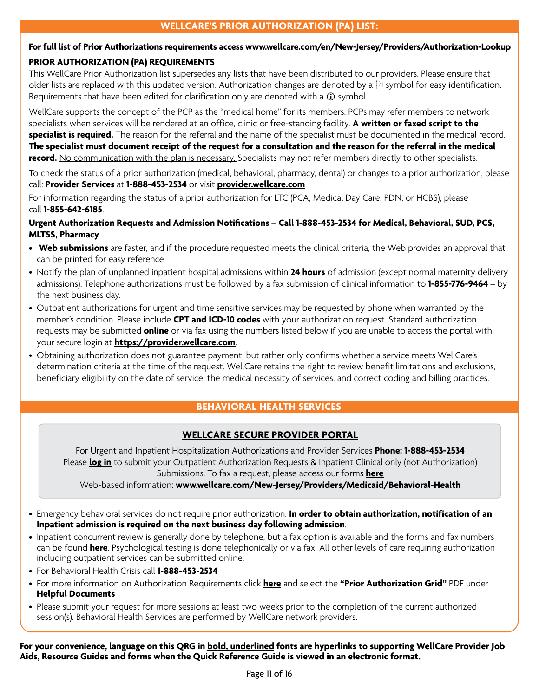# **WELLCARE'S PRIOR AUTHORIZATION (PA) LIST:**

# **For full list of Prior Authorizations requirements access [www.wellcare.com/en/New-Jersey/Providers/Authorization-Lookup](http://www.wellcare.com/en/New-Jersey/Providers/Authorization-Lookup)**

#### **PRIOR AUTHORIZATION (PA) REQUIREMENTS**

This WellCare Prior Authorization list supersedes any lists that have been distributed to our providers. Please ensure that older lists are replaced with this updated version. Authorization changes are denoted by a  $\upbeta$  symbol for easy identification. Requirements that have been edited for clarification only are denoted with a  $\mathbf \Omega$  symbol.

WellCare supports the concept of the PCP as the "medical home" for its members. PCPs may refer members to network specialists when services will be rendered at an office, clinic or free-standing facility. **A written or faxed script to the specialist is required.** The reason for the referral and the name of the specialist must be documented in the medical record. **The specialist must document receipt of the request for a consultation and the reason for the referral in the medical record.** No communication with the plan is necessary. Specialists may not refer members directly to other specialists.

To check the status of a prior authorization (medical, behavioral, pharmacy, dental) or changes to a prior authorization, please call: **Provider Services** at **1-888-453-2534** or visit **[provider.wellcare.com](https://provider.wellcare.com)** 

For information regarding the status of a prior authorization for LTC (PCA, Medical Day Care, PDN, or HCBS), please call **1-855-642-6185**.

# **Urgent Authorization Requests and Admission Notifcations – Call 1-888-453-2534 for Medical, Behavioral, SUD, PCS, MLTSS, Pharmacy**

- **[Web submissions](https://provider.wellcare.com)** are faster, and if the procedure requested meets the clinical criteria, the Web provides an approval that can be printed for easy reference
- Notify the plan of unplanned inpatient hospital admissions within **24 hours** of admission (except normal maternity delivery admissions). Telephone authorizations must be followed by a fax submission of clinical information to **1-855-776-9464** – by the next business day.
- Outpatient authorizations for urgent and time sensitive services may be requested by phone when warranted by the member's condition. Please include **CPT and ICD-10 codes** with your authorization request. Standard authorization requests may be submitted **[online](https://provider.wellcare.com)** or via fax using the numbers listed below if you are unable to access the portal with your secure login at **<https://provider.wellcare.com>**.
- Obtaining authorization does not guarantee payment, but rather only confirms whether a service meets WellCare's determination criteria at the time of the request. WellCare retains the right to review benefit limitations and exclusions, beneficiary eligibility on the date of service, the medical necessity of services, and correct coding and billing practices.

# **BEHAVIORAL HEALTH SERVICES**

# **[WELLCARE SECURE PROVIDER PORTAL](https://provider.wellcare.com)**

For Urgent and Inpatient Hospitalization Authorizations and Provider Services **Phone: 1-888-453-2534**  Please **[log in](https://provider.wellcare.com)** to submit your Outpatient Authorization Requests & Inpatient Clinical only (not Authorization) Submissions. To fax a request, please access our forms **[here](https://www.wellcare.com/en/New-Jersey/Providers/Medicaid/Forms)** 

#### Web-based information: **[www.wellcare.com/New-Jersey/Providers/Medicaid/Behavioral-Health](http://www.wellcare.com/New-Jersey/Providers/Medicaid/Behavioral-Health)**

- Emergency behavioral services do not require prior authorization. **In order to obtain authorization, notification of an Inpatient admission is required on the next business day following admission**.
- Inpatient concurrent review is generally done by telephone, but a fax option is available and the forms and fax numbers can be found **[here](https://www.wellcare.com/en/New-Jersey/Providers/Medicaid/Forms)**. Psychological testing is done telephonically or via fax. All other levels of care requiring authorization including outpatient services can be submitted online.
- For Behavioral Health Crisis call **1-888-453-2534**
- For more information on Authorization Requirements click **[here](https://www.wellcare.com/New-Jersey/Providers/Medicaid/Behavioral-Health)** and select the **"Prior Authorization Grid"** PDF under **Helpful Documents**
- Please submit your request for more sessions at least two weeks prior to the completion of the current authorized session(s). Behavioral Health Services are performed by WellCare network providers.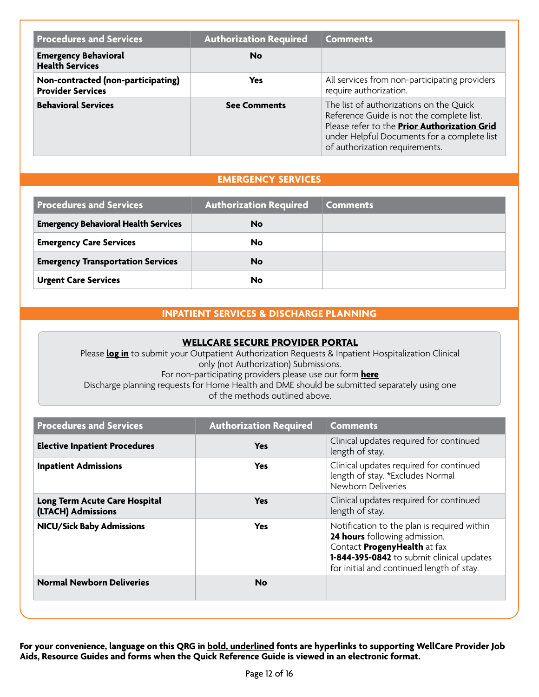| <b>Procedures and Services</b>                                 | <b>Authorization Required</b> | <b>Comments</b>                                                                                                                                                                                                       |
|----------------------------------------------------------------|-------------------------------|-----------------------------------------------------------------------------------------------------------------------------------------------------------------------------------------------------------------------|
| <b>Emergency Behavioral</b><br><b>Health Services</b>          | <b>No</b>                     |                                                                                                                                                                                                                       |
| Non-contracted (non-participating)<br><b>Provider Services</b> | <b>Yes</b>                    | All services from non-participating providers<br>require authorization.                                                                                                                                               |
| <b>Behavioral Services</b>                                     | <b>See Comments</b>           | The list of authorizations on the Quick<br>Reference Guide is not the complete list.<br>Please refer to the Prior Authorization Grid<br>under Helpful Documents for a complete list<br>of authorization requirements. |

# **EMERGENCY SERVICES**

| <b>Procedures and Services</b>              | <b>Authorization Required</b> | <b>Comments</b> |
|---------------------------------------------|-------------------------------|-----------------|
| <b>Emergency Behavioral Health Services</b> | No                            |                 |
| <b>Emergency Care Services</b>              | No                            |                 |
| <b>Emergency Transportation Services</b>    | <b>No</b>                     |                 |
| <b>Urgent Care Services</b>                 | No                            |                 |

# **INPATIENT SERVICES & DISCHARGE PLANNING**

#### **[WELLCARE SECURE PROVIDER PORTAL](https://provider.wellcare.com)**

Please **[log in](http://provider.wellcare.com)** to submit your Outpatient Authorization Requests & Inpatient Hospitalization Clinical only (not Authorization) Submissions. For non-participating providers please use our form **[here](https://www.wellcare.com/en/New-Jersey/Providers/Medicaid/Forms)**  Discharge planning requests for Home Health and DME should be submitted separately using one of the methods outlined above.

| <b>Procedures and Services</b>                      | <b>Authorization Required</b> | <b>Comments</b>                                                                                                                                                                                        |
|-----------------------------------------------------|-------------------------------|--------------------------------------------------------------------------------------------------------------------------------------------------------------------------------------------------------|
| <b>Elective Inpatient Procedures</b>                | <b>Yes</b>                    | Clinical updates required for continued<br>length of stay.                                                                                                                                             |
| <b>Inpatient Admissions</b>                         | <b>Yes</b>                    | Clinical updates required for continued<br>length of stay. *Excludes Normal<br>Newborn Deliveries                                                                                                      |
| Long Term Acute Care Hospital<br>(LTACH) Admissions | <b>Yes</b>                    | Clinical updates required for continued<br>length of stay.                                                                                                                                             |
| <b>NICU/Sick Baby Admissions</b>                    | <b>Yes</b>                    | Notification to the plan is required within<br>24 hours following admission.<br>Contact ProgenyHealth at fax<br>1-844-395-0842 to submit clinical updates<br>for initial and continued length of stay. |
| <b>Normal Newborn Deliveries</b>                    | <b>No</b>                     |                                                                                                                                                                                                        |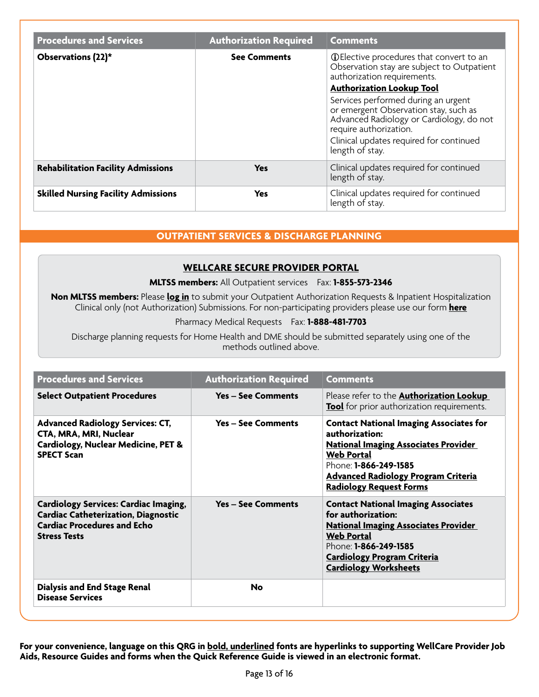| <b>Procedures and Services</b>             | <b>Authorization Required</b> | <b>Comments</b>                                                                                                                                                                                                  |
|--------------------------------------------|-------------------------------|------------------------------------------------------------------------------------------------------------------------------------------------------------------------------------------------------------------|
| Observations (22)*                         | <b>See Comments</b>           | <b>O</b> Elective procedures that convert to an<br>Observation stay are subject to Outpatient<br>authorization requirements.<br><b>Authorization Lookup Tool</b>                                                 |
|                                            |                               | Services performed during an urgent<br>or emergent Observation stay, such as<br>Advanced Radiology or Cardiology, do not<br>require authorization.<br>Clinical updates required for continued<br>length of stay. |
| <b>Rehabilitation Facility Admissions</b>  | <b>Yes</b>                    | Clinical updates required for continued<br>length of stay.                                                                                                                                                       |
| <b>Skilled Nursing Facility Admissions</b> | Yes                           | Clinical updates required for continued<br>length of stay.                                                                                                                                                       |

# **OUTPATIENT SERVICES & DISCHARGE PLANNING**

#### **[WELLCARE SECURE PROVIDER PORTAL](https://provider.wellcare.com)**

#### **MLTSS members:** All Outpatient services Fax: **1-855-573-2346**

**Non MLTSS members:** Please **[log in](http://provider.wellcare.com)** to submit your Outpatient Authorization Requests & Inpatient Hospitalization Clinical only (not Authorization) Submissions. For non-participating providers please use our form **[here](https://www.wellcare.com/en/New-Jersey/Providers/Medicaid/Forms)** 

#### Pharmacy Medical Requests Fax: **1-888-481-7703**

Discharge planning requests for Home Health and DME should be submitted separately using one of the methods outlined above.

| <b>Procedures and Services</b>                                                                                                                          | <b>Authorization Required</b> | <b>Comments</b>                                                                                                                                                                                                                                      |
|---------------------------------------------------------------------------------------------------------------------------------------------------------|-------------------------------|------------------------------------------------------------------------------------------------------------------------------------------------------------------------------------------------------------------------------------------------------|
| <b>Select Outpatient Procedures</b>                                                                                                                     | <b>Yes - See Comments</b>     | Please refer to the <b>Authorization Lookup</b><br><b>Tool</b> for prior authorization requirements.                                                                                                                                                 |
| <b>Advanced Radiology Services: CT,</b><br>CTA, MRA, MRI, Nuclear<br>Cardiology, Nuclear Medicine, PET &<br><b>SPECT Scan</b>                           | <b>Yes - See Comments</b>     | <b>Contact National Imaging Associates for</b><br>authorization:<br><b>National Imaging Associates Provider</b><br><b>Web Portal</b><br>Phone: <b>1-866-249-1585</b><br><b>Advanced Radiology Program Criteria</b><br><b>Radiology Request Forms</b> |
| <b>Cardiology Services: Cardiac Imaging,</b><br><b>Cardiac Catheterization, Diagnostic</b><br><b>Cardiac Procedures and Echo</b><br><b>Stress Tests</b> | <b>Yes - See Comments</b>     | <b>Contact National Imaging Associates</b><br>for authorization:<br><b>National Imaging Associates Provider</b><br><b>Web Portal</b><br>Phone: 1-866-249-1585<br><b>Cardiology Program Criteria</b><br><b>Cardiology Worksheets</b>                  |
| <b>Dialysis and End Stage Renal</b><br><b>Disease Services</b>                                                                                          | <b>No</b>                     |                                                                                                                                                                                                                                                      |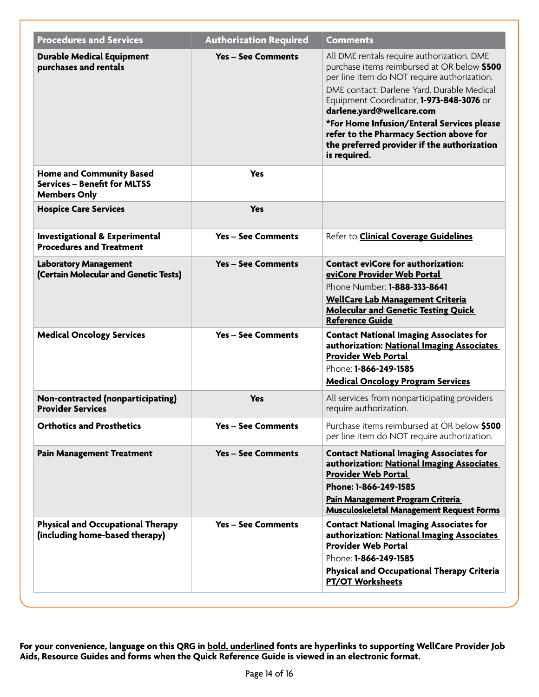| <b>Procedures and Services</b>                                                                | <b>Authorization Required</b> | <b>Comments</b>                                                                                                                                                                                                                                                                                                                                                                                                         |
|-----------------------------------------------------------------------------------------------|-------------------------------|-------------------------------------------------------------------------------------------------------------------------------------------------------------------------------------------------------------------------------------------------------------------------------------------------------------------------------------------------------------------------------------------------------------------------|
| <b>Durable Medical Equipment</b><br>purchases and rentals                                     | <b>Yes - See Comments</b>     | All DME rentals require authorization. DME<br>purchase items reimbursed at OR below \$500<br>per line item do NOT require authorization.<br>DME contact: Darlene Yard, Durable Medical<br>Equipment Coordinator, 1-973-848-3076 or<br>darlene.yard@wellcare.com<br>*For Home Infusion/Enteral Services please<br>refer to the Pharmacy Section above for<br>the preferred provider if the authorization<br>is required. |
| <b>Home and Community Based</b><br><b>Services - Benefit for MLTSS</b><br><b>Members Only</b> | <b>Yes</b>                    |                                                                                                                                                                                                                                                                                                                                                                                                                         |
| <b>Hospice Care Services</b>                                                                  | <b>Yes</b>                    |                                                                                                                                                                                                                                                                                                                                                                                                                         |
| <b>Investigational &amp; Experimental</b><br><b>Procedures and Treatment</b>                  | <b>Yes - See Comments</b>     | Refer to <b>Clinical Coverage Guidelines</b>                                                                                                                                                                                                                                                                                                                                                                            |
| <b>Laboratory Management</b><br>(Certain Molecular and Genetic Tests)                         | <b>Yes - See Comments</b>     | <b>Contact eviCore for authorization:</b><br>eviCore Provider Web Portal<br>Phone Number: 1-888-333-8641<br><b>WellCare Lab Management Criteria</b><br><b>Molecular and Genetic Testing Quick</b><br><b>Reference Guide</b>                                                                                                                                                                                             |
| <b>Medical Oncology Services</b>                                                              | <b>Yes - See Comments</b>     | <b>Contact National Imaging Associates for</b><br>authorization: National Imaging Associates<br><b>Provider Web Portal</b><br>Phone: 1-866-249-1585<br><b>Medical Oncology Program Services</b>                                                                                                                                                                                                                         |
| Non-contracted (nonparticipating)<br><b>Provider Services</b>                                 | <b>Yes</b>                    | All services from nonparticipating providers<br>require authorization.                                                                                                                                                                                                                                                                                                                                                  |
| <b>Orthotics and Prosthetics</b>                                                              | Yes - See Comments            | Purchase items reimbursed at OR below \$500<br>per line item do NOT require authorization.                                                                                                                                                                                                                                                                                                                              |
| <b>Pain Management Treatment</b>                                                              | <b>Yes - See Comments</b>     | <b>Contact National Imaging Associates for</b><br>authorization: National Imaging Associates<br><b>Provider Web Portal</b><br>Phone: 1-866-249-1585<br>Pain Management Program Criteria<br><b>Musculoskeletal Management Request Forms</b>                                                                                                                                                                              |
| <b>Physical and Occupational Therapy</b><br>(including home-based therapy)                    | <b>Yes - See Comments</b>     | <b>Contact National Imaging Associates for</b><br>authorization: National Imaging Associates<br><b>Provider Web Portal</b><br>Phone: 1-866-249-1585<br><b>Physical and Occupational Therapy Criteria</b><br><b>PT/OT Worksheets</b>                                                                                                                                                                                     |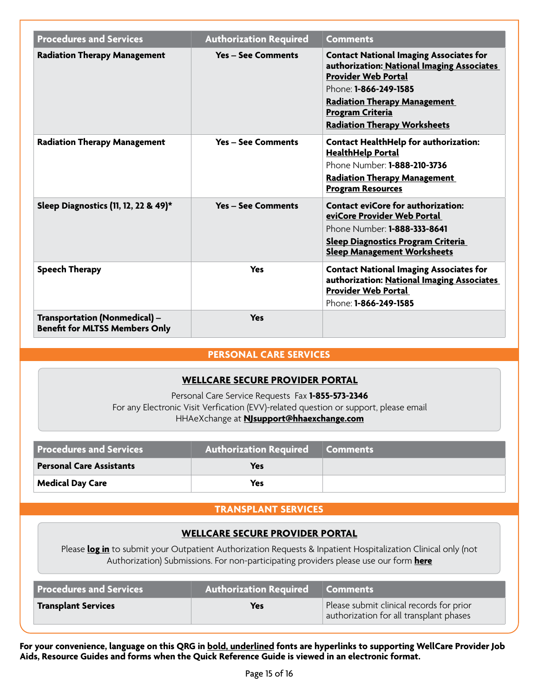| <b>Procedures and Services</b>                                                | <b>Authorization Required</b> | <b>Comments</b>                                                                                                                                                                                                                                              |
|-------------------------------------------------------------------------------|-------------------------------|--------------------------------------------------------------------------------------------------------------------------------------------------------------------------------------------------------------------------------------------------------------|
| <b>Radiation Therapy Management</b>                                           | <b>Yes - See Comments</b>     | <b>Contact National Imaging Associates for</b><br>authorization: National Imaging Associates<br><b>Provider Web Portal</b><br>Phone: 1-866-249-1585<br><b>Radiation Therapy Management</b><br><b>Program Criteria</b><br><b>Radiation Therapy Worksheets</b> |
| <b>Radiation Therapy Management</b>                                           | <b>Yes - See Comments</b>     | <b>Contact HealthHelp for authorization:</b><br><b>HealthHelp Portal</b><br>Phone Number: <b>1-888-210-3736</b><br><b>Radiation Therapy Management</b><br><b>Program Resources</b>                                                                           |
| Sleep Diagnostics (11, 12, 22 & 49)*                                          | <b>Yes - See Comments</b>     | <b>Contact eviCore for authorization:</b><br>eviCore Provider Web Portal<br>Phone Number: <b>1-888-333-8641</b><br><b>Sleep Diagnostics Program Criteria</b><br><b>Sleep Management Worksheets</b>                                                           |
| <b>Speech Therapy</b>                                                         | Yes                           | <b>Contact National Imaging Associates for</b><br>authorization: National Imaging Associates<br><b>Provider Web Portal</b><br>Phone: <b>1-866-249-1585</b>                                                                                                   |
| <b>Transportation (Nonmedical) -</b><br><b>Benefit for MLTSS Members Only</b> | <b>Yes</b>                    |                                                                                                                                                                                                                                                              |

#### **PERSONAL CARE SERVICES**

#### **[WELLCARE SECURE PROVIDER PORTAL](https://provider.wellcare.com)**

Personal Care Service Requests Fax **1-855-573-2346**  For any Electronic Visit Verfication (EVV)-related question or support, please email HHAeXchange at **[NJsupport@hhaexchange.com](mailto:NJsupport@hhaexchange.com)** 

| <b>Procedures and Services</b>  | Authorization Required Comments |  |
|---------------------------------|---------------------------------|--|
| <b>Personal Care Assistants</b> | Yes                             |  |
| <b>Medical Day Care</b>         | Yes                             |  |

#### **TRANSPLANT SERVICES**

#### **[WELLCARE SECURE PROVIDER PORTAL](https://provider.wellcare.com)**

Please **[log in](http://provider.wellcare.com)** to submit your Outpatient Authorization Requests & Inpatient Hospitalization Clinical only (not Authorization) Submissions. For non-participating providers please use our form **[here](https://www.wellcare.com/en/New-Jersey/Providers/Medicaid/Forms)** 

| <b>Procedures and Services</b> | Authorization Required Comments |                                                                                     |
|--------------------------------|---------------------------------|-------------------------------------------------------------------------------------|
| <b>Transplant Services</b>     | Yes                             | Please submit clinical records for prior<br>authorization for all transplant phases |